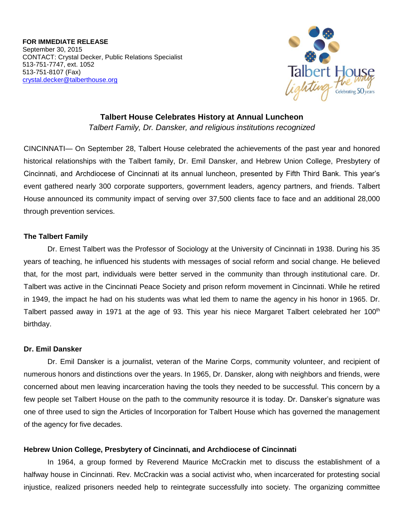**FOR IMMEDIATE RELEASE** September 30, 2015 CONTACT: Crystal Decker, Public Relations Specialist 513-751-7747, ext. 1052 513-751-8107 (Fax) [crystal.decker@talberthouse.org](mailto:crystal.decker@talberthouse.org)



**Talbert House Celebrates History at Annual Luncheon** *Talbert Family, Dr. Dansker, and religious institutions recognized* 

CINCINNATI— On September 28, Talbert House celebrated the achievements of the past year and honored historical relationships with the Talbert family, Dr. Emil Dansker, and Hebrew Union College, Presbytery of Cincinnati, and Archdiocese of Cincinnati at its annual luncheon, presented by Fifth Third Bank. This year's event gathered nearly 300 corporate supporters, government leaders, agency partners, and friends. Talbert House announced its community impact of serving over 37,500 clients face to face and an additional 28,000 through prevention services.

## **The Talbert Family**

Dr. Ernest Talbert was the Professor of Sociology at the University of Cincinnati in 1938. During his 35 years of teaching, he influenced his students with messages of social reform and social change. He believed that, for the most part, individuals were better served in the community than through institutional care. Dr. Talbert was active in the Cincinnati Peace Society and prison reform movement in Cincinnati. While he retired in 1949, the impact he had on his students was what led them to name the agency in his honor in 1965. Dr. Talbert passed away in 1971 at the age of 93. This year his niece Margaret Talbert celebrated her 100<sup>th</sup> birthday.

## **Dr. Emil Dansker**

Dr. Emil Dansker is a journalist, veteran of the Marine Corps, community volunteer, and recipient of numerous honors and distinctions over the years. In 1965, Dr. Dansker, along with neighbors and friends, were concerned about men leaving incarceration having the tools they needed to be successful. This concern by a few people set Talbert House on the path to the community resource it is today. Dr. Dansker's signature was one of three used to sign the Articles of Incorporation for Talbert House which has governed the management of the agency for five decades.

## **Hebrew Union College, Presbytery of Cincinnati, and Archdiocese of Cincinnati**

In 1964, a group formed by Reverend Maurice McCrackin met to discuss the establishment of a halfway house in Cincinnati. Rev. McCrackin was a social activist who, when incarcerated for protesting social injustice, realized prisoners needed help to reintegrate successfully into society. The organizing committee